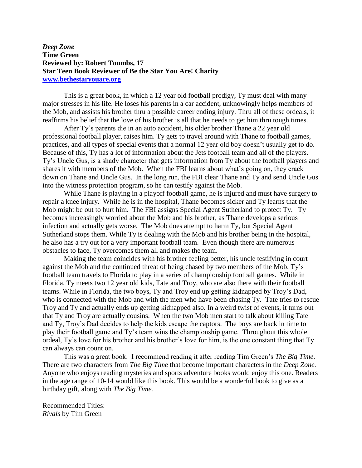## *Deep Zone* **Time Green Reviewed by: Robert Toumbs, 17 Star Teen Book Reviewer of Be the Star You Are! Charity [www.bethestaryouare.org](http://www.bethestaryouare.org/)**

This is a great book, in which a 12 year old football prodigy, Ty must deal with many major stresses in his life. He loses his parents in a car accident, unknowingly helps members of the Mob, and assists his brother thru a possible career ending injury. Thru all of these ordeals, it reaffirms his belief that the love of his brother is all that he needs to get him thru tough times.

After Ty's parents die in an auto accident, his older brother Thane a 22 year old professional football player, raises him. Ty gets to travel around with Thane to football games, practices, and all types of special events that a normal 12 year old boy doesn't usually get to do. Because of this, Ty has a lot of information about the Jets football team and all of the players. Ty's Uncle Gus, is a shady character that gets information from Ty about the football players and shares it with members of the Mob. When the FBI learns about what's going on, they crack down on Thane and Uncle Gus. In the long run, the FBI clear Thane and Ty and send Uncle Gus into the witness protection program, so he can testify against the Mob.

While Thane is playing in a playoff football game, he is injured and must have surgery to repair a knee injury. While he is in the hospital, Thane becomes sicker and Ty learns that the Mob might be out to hurt him. The FBI assigns Special Agent Sutherland to protect Ty. Ty becomes increasingly worried about the Mob and his brother, as Thane develops a serious infection and actually gets worse. The Mob does attempt to harm Ty, but Special Agent Sutherland stops them. While Ty is dealing with the Mob and his brother being in the hospital, he also has a try out for a very important football team. Even though there are numerous obstacles to face, Ty overcomes them all and makes the team.

Making the team coincides with his brother feeling better, his uncle testifying in court against the Mob and the continued threat of being chased by two members of the Mob. Ty's football team travels to Florida to play in a series of championship football games. While in Florida, Ty meets two 12 year old kids, Tate and Troy, who are also there with their football teams. While in Florida, the two boys, Ty and Troy end up getting kidnapped by Troy's Dad, who is connected with the Mob and with the men who have been chasing Ty. Tate tries to rescue Troy and Ty and actually ends up getting kidnapped also. In a weird twist of events, it turns out that Ty and Troy are actually cousins. When the two Mob men start to talk about killing Tate and Ty, Troy's Dad decides to help the kids escape the captors. The boys are back in time to play their football game and Ty's team wins the championship game. Throughout this whole ordeal, Ty's love for his brother and his brother's love for him, is the one constant thing that Ty can always can count on.

This was a great book. I recommend reading it after reading Tim Green's *The Big Time*. There are two characters from *The Big Time* that become important characters in the *Deep Zone.* Anyone who enjoys reading mysteries and sports adventure books would enjoy this one. Readers in the age range of 10-14 would like this book. This would be a wonderful book to give as a birthday gift, along with *The Big Time.*

Recommended Titles: *Rivals* by Tim Green